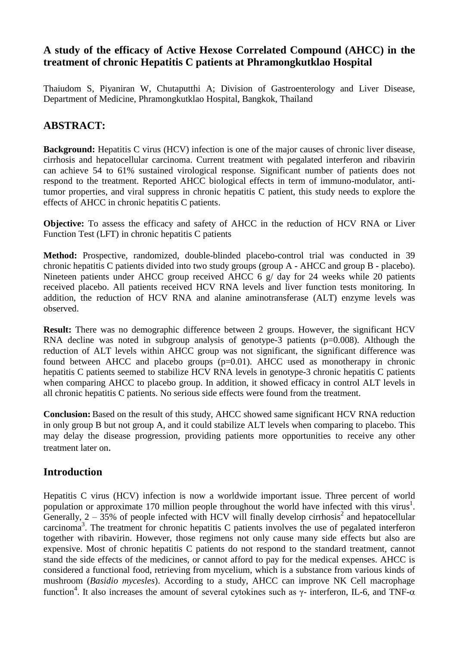# **A study of the efficacy of Active Hexose Correlated Compound (AHCC) in the treatment of chronic Hepatitis C patients at Phramongkutklao Hospital**

Thaiudom S, Piyaniran W, Chutaputthi A; Division of Gastroenterology and Liver Disease, Department of Medicine, Phramongkutklao Hospital, Bangkok, Thailand

# **ABSTRACT:**

**Background:** Hepatitis C virus (HCV) infection is one of the major causes of chronic liver disease, cirrhosis and hepatocellular carcinoma. Current treatment with pegalated interferon and ribavirin can achieve 54 to 61% sustained virological response. Significant number of patients does not respond to the treatment. Reported AHCC biological effects in term of immuno-modulator, antitumor properties, and viral suppress in chronic hepatitis C patient, this study needs to explore the effects of AHCC in chronic hepatitis C patients.

**Objective:** To assess the efficacy and safety of AHCC in the reduction of HCV RNA or Liver Function Test (LFT) in chronic hepatitis C patients

**Method:** Prospective, randomized, double-blinded placebo-control trial was conducted in 39 chronic hepatitis C patients divided into two study groups (group A - AHCC and group B - placebo). Nineteen patients under AHCC group received AHCC 6 g/ day for 24 weeks while 20 patients received placebo. All patients received HCV RNA levels and liver function tests monitoring. In addition, the reduction of HCV RNA and alanine aminotransferase (ALT) enzyme levels was observed.

**Result:** There was no demographic difference between 2 groups. However, the significant HCV RNA decline was noted in subgroup analysis of genotype-3 patients ( $p=0.008$ ). Although the reduction of ALT levels within AHCC group was not significant, the significant difference was found between AHCC and placebo groups  $(p=0.01)$ . AHCC used as monotherapy in chronic hepatitis C patients seemed to stabilize HCV RNA levels in genotype-3 chronic hepatitis C patients when comparing AHCC to placebo group. In addition, it showed efficacy in control ALT levels in all chronic hepatitis C patients. No serious side effects were found from the treatment.

**Conclusion:** Based on the result of this study, AHCC showed same significant HCV RNA reduction in only group B but not group A, and it could stabilize ALT levels when comparing to placebo. This may delay the disease progression, providing patients more opportunities to receive any other treatment later on.

## **Introduction**

Hepatitis C virus (HCV) infection is now a worldwide important issue. Three percent of world population or approximate 170 million people throughout the world have infected with this virus<sup>1</sup>. Generally,  $2 - 35$ % of people infected with HCV will finally develop cirrhosis<sup>2</sup> and hepatocellular carcinoma<sup>3</sup>. The treatment for chronic hepatitis C patients involves the use of pegalated interferon together with ribavirin. However, those regimens not only cause many side effects but also are expensive. Most of chronic hepatitis C patients do not respond to the standard treatment, cannot stand the side effects of the medicines, or cannot afford to pay for the medical expenses. AHCC is considered a functional food, retrieving from mycelium, which is a substance from various kinds of mushroom (*Basidio mycesles*). According to a study, AHCC can improve NK Cell macrophage function<sup>4</sup>. It also increases the amount of several cytokines such as γ- interferon, IL-6, and TNF- $\alpha$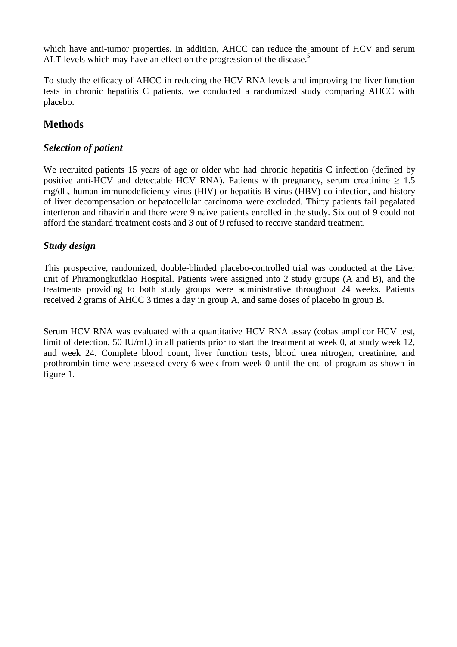which have anti-tumor properties. In addition, AHCC can reduce the amount of HCV and serum ALT levels which may have an effect on the progression of the disease.<sup>5</sup>

To study the efficacy of AHCC in reducing the HCV RNA levels and improving the liver function tests in chronic hepatitis C patients, we conducted a randomized study comparing AHCC with placebo.

# **Methods**

### *Selection of patient*

We recruited patients 15 years of age or older who had chronic hepatitis C infection (defined by positive anti-HCV and detectable HCV RNA). Patients with pregnancy, serum creatinine  $\geq 1.5$ mg/dL, human immunodeficiency virus (HIV) or hepatitis B virus (HBV) co infection, and history of liver decompensation or hepatocellular carcinoma were excluded. Thirty patients fail pegalated interferon and ribavirin and there were 9 naïve patients enrolled in the study. Six out of 9 could not afford the standard treatment costs and 3 out of 9 refused to receive standard treatment.

### *Study design*

This prospective, randomized, double-blinded placebo-controlled trial was conducted at the Liver unit of Phramongkutklao Hospital. Patients were assigned into 2 study groups (A and B), and the treatments providing to both study groups were administrative throughout 24 weeks. Patients received 2 grams of AHCC 3 times a day in group A, and same doses of placebo in group B.

Serum HCV RNA was evaluated with a quantitative HCV RNA assay (cobas amplicor HCV test, limit of detection, 50 IU/mL) in all patients prior to start the treatment at week 0, at study week 12, and week 24. Complete blood count, liver function tests, blood urea nitrogen, creatinine, and prothrombin time were assessed every 6 week from week 0 until the end of program as shown in figure 1.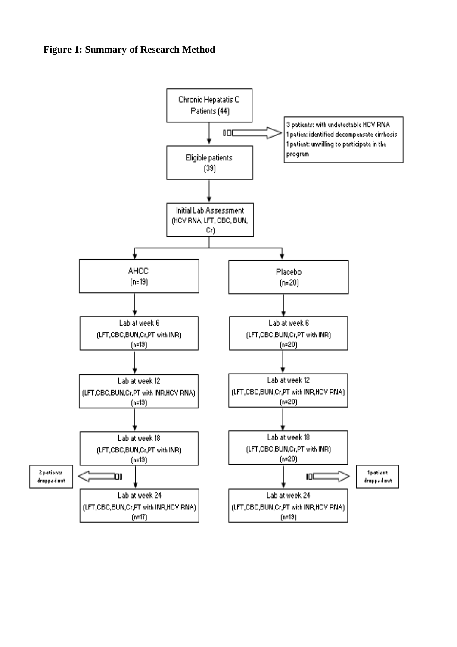### **Figure 1: Summary of Research Method**

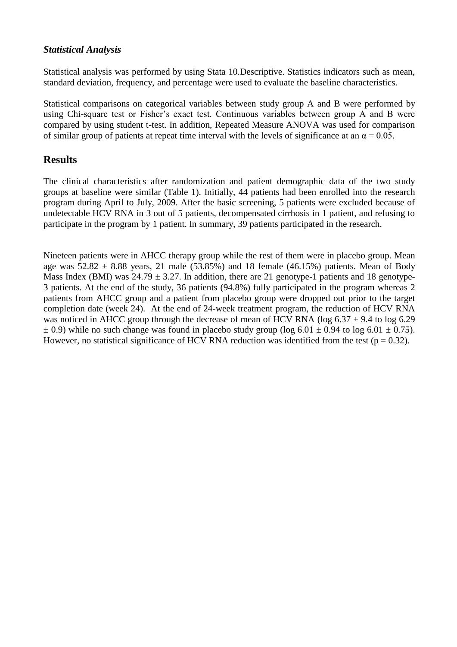#### *Statistical Analysis*

Statistical analysis was performed by using Stata 10.Descriptive. Statistics indicators such as mean, standard deviation, frequency, and percentage were used to evaluate the baseline characteristics.

Statistical comparisons on categorical variables between study group A and B were performed by using Chi-square test or Fisher's exact test. Continuous variables between group A and B were compared by using student t-test. In addition, Repeated Measure ANOVA was used for comparison of similar group of patients at repeat time interval with the levels of significance at an  $\alpha = 0.05$ .

## **Results**

The clinical characteristics after randomization and patient demographic data of the two study groups at baseline were similar (Table 1). Initially, 44 patients had been enrolled into the research program during April to July, 2009. After the basic screening, 5 patients were excluded because of undetectable HCV RNA in 3 out of 5 patients, decompensated cirrhosis in 1 patient, and refusing to participate in the program by 1 patient. In summary, 39 patients participated in the research.

Nineteen patients were in AHCC therapy group while the rest of them were in placebo group. Mean age was  $52.82 \pm 8.88$  years, 21 male (53.85%) and 18 female (46.15%) patients. Mean of Body Mass Index (BMI) was  $24.79 \pm 3.27$ . In addition, there are 21 genotype-1 patients and 18 genotype-3 patients. At the end of the study, 36 patients (94.8%) fully participated in the program whereas 2 patients from AHCC group and a patient from placebo group were dropped out prior to the target completion date (week 24). At the end of 24-week treatment program, the reduction of HCV RNA was noticed in AHCC group through the decrease of mean of HCV RNA (log  $6.37 \pm 9.4$  to log 6.29  $\pm$  0.9) while no such change was found in placebo study group (log 6.01  $\pm$  0.94 to log 6.01  $\pm$  0.75). However, no statistical significance of HCV RNA reduction was identified from the test ( $p = 0.32$ ).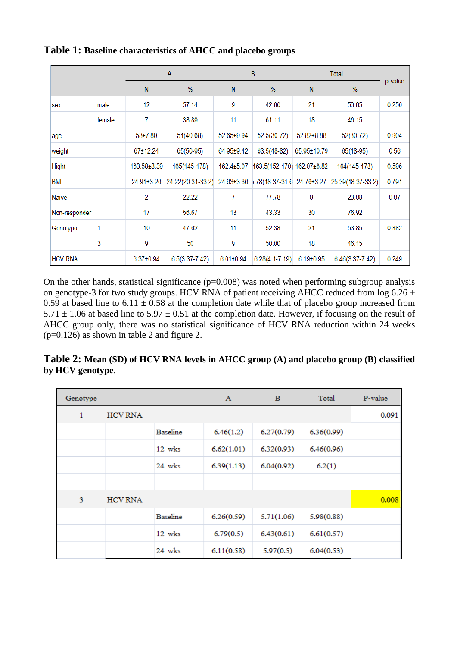|                |        | A           |                    | В               |                                       | Total           |                     |         |
|----------------|--------|-------------|--------------------|-----------------|---------------------------------------|-----------------|---------------------|---------|
|                |        | N           | %                  | N               | %                                     | N               | %                   | p-value |
| sex            | male   | 12          | 57.14              | 9               | 42.86                                 | 21              | 53.85               | 0.256   |
|                | female | 7           | 38.89              | 11              | 61.11                                 | 18              | 46.15               |         |
| age            |        | 53±7.89     | $51(40-68)$        | 52.65±9.94      | 52.5(30-72)                           | 52.82±8.88      | $52(30-72)$         | 0.904   |
| weight         |        | 67±12.24    | $65(50-95)$        | 64.95±9.42      | 63.5(48-82)                           | 65.95±10.79     | 65(48-95)           | 0.56    |
| <b>Hight</b>   |        | 163.58±8.39 | 165(145-178)       | 162.4±5.07      | 163.5(152-170) 162.97±6.82            |                 | 164(145-178)        | 0.596   |
| <b>BMI</b>     |        | 24.91±3.26  | 24.22(20.31-33.2)  |                 | 24.63±3.36 5.78(18.37-31.6 24.76±3.27 |                 | 25.39(18.37-33.2)   | 0.791   |
| Naïve          |        | 2           | 22.22              | 7               | 77.78                                 | 9               | 23.08               | 0.07    |
| Non-responder  |        | 17          | 56.67              | 13              | 43.33                                 | 30              | 76.92               |         |
| Genotype       |        | 10          | 47.62              | 11              | 52.38                                 | 21              | 53.85               | 0.882   |
|                | 3      | 9           | 50                 | 9               | 50.00                                 | 18              | 46.15               |         |
| <b>HCV RNA</b> |        | 6.37±0.94   | $6.5(3.37 - 7.42)$ | $6.01 \pm 0.94$ | $6.28(4.1 - 7.19)$                    | $6.19 \pm 0.95$ | $6.46(3.37 - 7.42)$ | 0.249   |

### **Table 1: Baseline characteristics of AHCC and placebo groups**

On the other hands, statistical significance  $(p=0.008)$  was noted when performing subgroup analysis on genotype-3 for two study groups. HCV RNA of patient receiving AHCC reduced from log 6.26  $\pm$ 0.59 at based line to 6.11  $\pm$  0.58 at the completion date while that of placebo group increased from  $5.71 \pm 1.06$  at based line to  $5.97 \pm 0.51$  at the completion date. However, if focusing on the result of AHCC group only, there was no statistical significance of HCV RNA reduction within 24 weeks (p=0.126) as shown in table 2 and figure 2.

## **Table 2: Mean (SD) of HCV RNA levels in AHCC group (A) and placebo group (B) classified by HCV genotype**.

| Genotype |                |                   | $\mathbf{A}$ | в          | Total      | P-value |
|----------|----------------|-------------------|--------------|------------|------------|---------|
| 1        | <b>HCV RNA</b> |                   |              |            |            | 0.091   |
|          |                | <b>Baseline</b>   | 6.46(1.2)    | 6.27(0.79) | 6.36(0.99) |         |
|          |                | 12 wks            | 6.62(1.01)   | 6.32(0.93) | 6.46(0.96) |         |
|          |                | 24 wks            | 6.39(1.13)   | 6.04(0.92) | 6.2(1)     |         |
|          |                |                   |              |            |            |         |
| 3        | <b>HCV RNA</b> |                   |              |            |            | 0.008   |
|          |                | <b>Baseline</b>   | 6.26(0.59)   | 5.71(1.06) | 5.98(0.88) |         |
|          |                | $12 \text{ w}$ ks | 6.79(0.5)    | 6.43(0.61) | 6.61(0.57) |         |
|          |                | 24 wks            | 6.11(0.58)   | 5.97(0.5)  | 6.04(0.53) |         |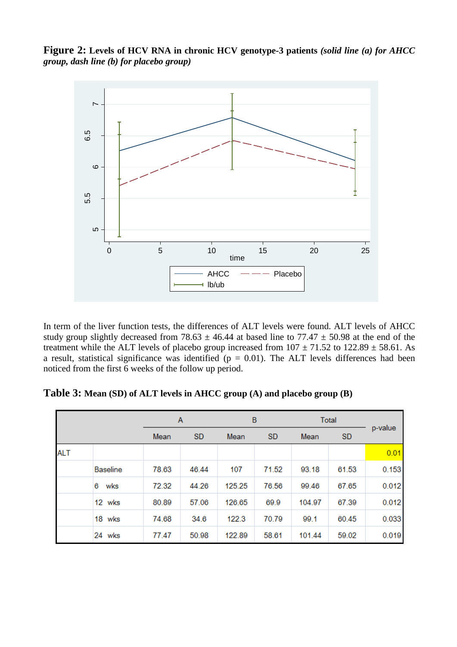**Figure 2: Levels of HCV RNA in chronic HCV genotype-3 patients** *(solid line (a) for AHCC group, dash line (b) for placebo group)*



In term of the liver function tests, the differences of ALT levels were found. ALT levels of AHCC study group slightly decreased from 78.63  $\pm$  46.44 at based line to 77.47  $\pm$  50.98 at the end of the treatment while the ALT levels of placebo group increased from  $107 \pm 71.52$  to  $122.89 \pm 58.61$ . As a result, statistical significance was identified  $(p = 0.01)$ . The ALT levels differences had been noticed from the first 6 weeks of the follow up period.

**Table 3: Mean (SD) of ALT levels in AHCC group (A) and placebo group (B)**

|            |                 |       | A         |        | B         |        | <b>Total</b> |         |
|------------|-----------------|-------|-----------|--------|-----------|--------|--------------|---------|
|            |                 | Mean  | <b>SD</b> | Mean   | <b>SD</b> | Mean   | <b>SD</b>    | p-value |
| <b>ALT</b> |                 |       |           |        |           |        |              | 0.01    |
|            | <b>Baseline</b> | 78.63 | 46.44     | 107    | 71.52     | 93.18  | 61.53        | 0.153   |
|            | wks<br>6        | 72.32 | 44.26     | 125.25 | 76.56     | 99.46  | 67.65        | 0.012   |
|            | 12 wks          | 80.89 | 57.06     | 126.65 | 69.9      | 104.97 | 67.39        | 0.012   |
|            | 18 wks          | 74.68 | 34.6      | 122.3  | 70.79     | 99.1   | 60.45        | 0.033   |
|            | 24 wks          | 77.47 | 50.98     | 122.89 | 58.61     | 101.44 | 59.02        | 0.019   |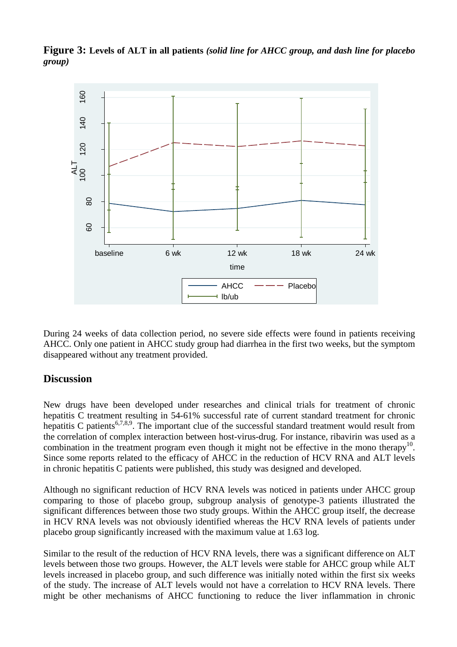

**Figure 3: Levels of ALT in all patients** *(solid line for AHCC group, and dash line for placebo group)*

During 24 weeks of data collection period, no severe side effects were found in patients receiving AHCC. Only one patient in AHCC study group had diarrhea in the first two weeks, but the symptom disappeared without any treatment provided.

## **Discussion**

New drugs have been developed under researches and clinical trials for treatment of chronic hepatitis C treatment resulting in 54-61% successful rate of current standard treatment for chronic hepatitis C patients<sup>6,7,8,9</sup>. The important clue of the successful standard treatment would result from the correlation of complex interaction between host-virus-drug. For instance, ribavirin was used as a combination in the treatment program even though it might not be effective in the mono therapy<sup>10</sup>. Since some reports related to the efficacy of AHCC in the reduction of HCV RNA and ALT levels in chronic hepatitis C patients were published, this study was designed and developed.

Although no significant reduction of HCV RNA levels was noticed in patients under AHCC group comparing to those of placebo group, subgroup analysis of genotype-3 patients illustrated the significant differences between those two study groups. Within the AHCC group itself, the decrease in HCV RNA levels was not obviously identified whereas the HCV RNA levels of patients under placebo group significantly increased with the maximum value at 1.63 log.

Similar to the result of the reduction of HCV RNA levels, there was a significant difference on ALT levels between those two groups. However, the ALT levels were stable for AHCC group while ALT levels increased in placebo group, and such difference was initially noted within the first six weeks of the study. The increase of ALT levels would not have a correlation to HCV RNA levels. There might be other mechanisms of AHCC functioning to reduce the liver inflammation in chronic